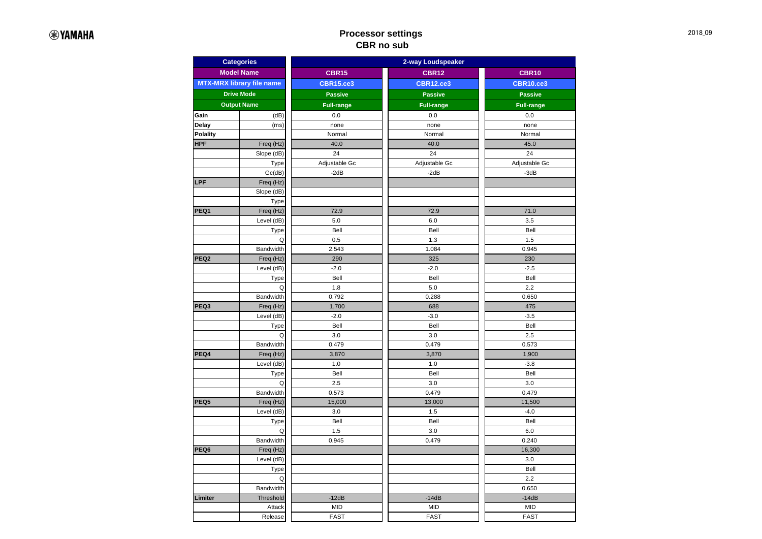## **Processor settings CBR no sub**

| <b>Model Name</b><br><b>CBR15</b><br><b>CBR12</b><br><b>CBR10</b><br><b>MTX-MRX library file name</b><br><b>CBR15.ce3</b><br><b>CBR12.ce3</b><br><b>CBR10.ce3</b><br><b>Drive Mode</b><br><b>Passive</b><br><b>Passive</b><br><b>Passive</b><br><b>Output Name</b><br><b>Full-range</b><br><b>Full-range</b><br><b>Full-range</b><br>0.0<br>0.0<br>0.0<br>Gain<br>(dB)<br>Delay<br>none<br>none<br>none<br>(ms)<br><b>Polality</b><br>Normal<br>Normal<br>Normal<br><b>HPF</b><br>Freq (Hz)<br>40.0<br>40.0<br>45.0<br>Slope (dB)<br>24<br>24<br>24<br>Adjustable Gc<br>Adjustable Gc<br>Adjustable Gc<br>Type<br>Gc(dB)<br>$-2dB$<br>$-2dB$<br>$-3dB$<br>LPF<br>Freq (Hz)<br>Slope (dB)<br>Type<br>Freq (Hz)<br>72.9<br>PEQ1<br>72.9<br>71.0<br>Level (dB)<br>5.0<br>6.0<br>3.5<br>Bell<br>Bell<br>Bell<br>Type<br>0.5<br>1.3<br>1.5<br>Q<br>0.945<br><b>Bandwidth</b><br>2.543<br>1.084<br>PEQ <sub>2</sub><br>325<br>230<br>Freq (Hz)<br>290<br>$-2.0$<br>$-2.0$<br>Level (dB)<br>$-2.5$<br>Type<br>Bell<br>Bell<br>Bell<br>Q<br>1.8<br>5.0<br>2.2<br>Bandwidth<br>0.792<br>0.288<br>0.650<br>PEQ3<br>1,700<br>688<br>Freq (Hz)<br>475<br>Level (dB)<br>$-2.0$<br>$-3.0$<br>$-3.5$<br>Type<br>Bell<br>Bell<br>Bell<br>Q<br>3.0<br>3.0<br>2.5<br><b>Bandwidth</b><br>0.479<br>0.479<br>0.573<br>PEQ4<br>Freq (Hz)<br>3,870<br>3,870<br>1,900<br>Level (dB)<br>1.0<br>1.0<br>$-3.8$<br>Bell<br>Bell<br>Bell<br>Type<br>2.5<br>3.0<br>3.0<br>Q<br><b>Bandwidth</b><br>0.573<br>0.479<br>0.479<br>PEQ5<br>Freq (Hz)<br>15,000<br>13,000<br>11,500<br>Level (dB)<br>1.5<br>$-4.0$<br>3.0<br>Bell<br>Bell<br>Bell<br>Type<br>1.5<br>3.0<br>6.0<br>Q<br><b>Bandwidth</b><br>0.945<br>0.479<br>0.240<br>PEQ6<br>Freq (Hz)<br>16,300<br>Level (dB)<br>3.0<br>Type<br>Bell<br>Q<br>2.2<br><b>Bandwidth</b><br>0.650<br>Limiter<br>Threshold<br>$-12dB$<br>$-14dB$<br>$-14dB$<br>Attack<br><b>MID</b><br><b>MID</b><br><b>MID</b><br>Release<br><b>FAST</b><br><b>FAST</b><br><b>FAST</b> | <b>Categories</b> |  | 2-way Loudspeaker |  |  |  |  |  |
|-----------------------------------------------------------------------------------------------------------------------------------------------------------------------------------------------------------------------------------------------------------------------------------------------------------------------------------------------------------------------------------------------------------------------------------------------------------------------------------------------------------------------------------------------------------------------------------------------------------------------------------------------------------------------------------------------------------------------------------------------------------------------------------------------------------------------------------------------------------------------------------------------------------------------------------------------------------------------------------------------------------------------------------------------------------------------------------------------------------------------------------------------------------------------------------------------------------------------------------------------------------------------------------------------------------------------------------------------------------------------------------------------------------------------------------------------------------------------------------------------------------------------------------------------------------------------------------------------------------------------------------------------------------------------------------------------------------------------------------------------------------------------------------------------------------------------------------------------------------------------------------------------------------------------------------------------------------------------------------|-------------------|--|-------------------|--|--|--|--|--|
|                                                                                                                                                                                                                                                                                                                                                                                                                                                                                                                                                                                                                                                                                                                                                                                                                                                                                                                                                                                                                                                                                                                                                                                                                                                                                                                                                                                                                                                                                                                                                                                                                                                                                                                                                                                                                                                                                                                                                                                   |                   |  |                   |  |  |  |  |  |
|                                                                                                                                                                                                                                                                                                                                                                                                                                                                                                                                                                                                                                                                                                                                                                                                                                                                                                                                                                                                                                                                                                                                                                                                                                                                                                                                                                                                                                                                                                                                                                                                                                                                                                                                                                                                                                                                                                                                                                                   |                   |  |                   |  |  |  |  |  |
|                                                                                                                                                                                                                                                                                                                                                                                                                                                                                                                                                                                                                                                                                                                                                                                                                                                                                                                                                                                                                                                                                                                                                                                                                                                                                                                                                                                                                                                                                                                                                                                                                                                                                                                                                                                                                                                                                                                                                                                   |                   |  |                   |  |  |  |  |  |
|                                                                                                                                                                                                                                                                                                                                                                                                                                                                                                                                                                                                                                                                                                                                                                                                                                                                                                                                                                                                                                                                                                                                                                                                                                                                                                                                                                                                                                                                                                                                                                                                                                                                                                                                                                                                                                                                                                                                                                                   |                   |  |                   |  |  |  |  |  |
|                                                                                                                                                                                                                                                                                                                                                                                                                                                                                                                                                                                                                                                                                                                                                                                                                                                                                                                                                                                                                                                                                                                                                                                                                                                                                                                                                                                                                                                                                                                                                                                                                                                                                                                                                                                                                                                                                                                                                                                   |                   |  |                   |  |  |  |  |  |
|                                                                                                                                                                                                                                                                                                                                                                                                                                                                                                                                                                                                                                                                                                                                                                                                                                                                                                                                                                                                                                                                                                                                                                                                                                                                                                                                                                                                                                                                                                                                                                                                                                                                                                                                                                                                                                                                                                                                                                                   |                   |  |                   |  |  |  |  |  |
|                                                                                                                                                                                                                                                                                                                                                                                                                                                                                                                                                                                                                                                                                                                                                                                                                                                                                                                                                                                                                                                                                                                                                                                                                                                                                                                                                                                                                                                                                                                                                                                                                                                                                                                                                                                                                                                                                                                                                                                   |                   |  |                   |  |  |  |  |  |
|                                                                                                                                                                                                                                                                                                                                                                                                                                                                                                                                                                                                                                                                                                                                                                                                                                                                                                                                                                                                                                                                                                                                                                                                                                                                                                                                                                                                                                                                                                                                                                                                                                                                                                                                                                                                                                                                                                                                                                                   |                   |  |                   |  |  |  |  |  |
|                                                                                                                                                                                                                                                                                                                                                                                                                                                                                                                                                                                                                                                                                                                                                                                                                                                                                                                                                                                                                                                                                                                                                                                                                                                                                                                                                                                                                                                                                                                                                                                                                                                                                                                                                                                                                                                                                                                                                                                   |                   |  |                   |  |  |  |  |  |
|                                                                                                                                                                                                                                                                                                                                                                                                                                                                                                                                                                                                                                                                                                                                                                                                                                                                                                                                                                                                                                                                                                                                                                                                                                                                                                                                                                                                                                                                                                                                                                                                                                                                                                                                                                                                                                                                                                                                                                                   |                   |  |                   |  |  |  |  |  |
|                                                                                                                                                                                                                                                                                                                                                                                                                                                                                                                                                                                                                                                                                                                                                                                                                                                                                                                                                                                                                                                                                                                                                                                                                                                                                                                                                                                                                                                                                                                                                                                                                                                                                                                                                                                                                                                                                                                                                                                   |                   |  |                   |  |  |  |  |  |
|                                                                                                                                                                                                                                                                                                                                                                                                                                                                                                                                                                                                                                                                                                                                                                                                                                                                                                                                                                                                                                                                                                                                                                                                                                                                                                                                                                                                                                                                                                                                                                                                                                                                                                                                                                                                                                                                                                                                                                                   |                   |  |                   |  |  |  |  |  |
|                                                                                                                                                                                                                                                                                                                                                                                                                                                                                                                                                                                                                                                                                                                                                                                                                                                                                                                                                                                                                                                                                                                                                                                                                                                                                                                                                                                                                                                                                                                                                                                                                                                                                                                                                                                                                                                                                                                                                                                   |                   |  |                   |  |  |  |  |  |
|                                                                                                                                                                                                                                                                                                                                                                                                                                                                                                                                                                                                                                                                                                                                                                                                                                                                                                                                                                                                                                                                                                                                                                                                                                                                                                                                                                                                                                                                                                                                                                                                                                                                                                                                                                                                                                                                                                                                                                                   |                   |  |                   |  |  |  |  |  |
|                                                                                                                                                                                                                                                                                                                                                                                                                                                                                                                                                                                                                                                                                                                                                                                                                                                                                                                                                                                                                                                                                                                                                                                                                                                                                                                                                                                                                                                                                                                                                                                                                                                                                                                                                                                                                                                                                                                                                                                   |                   |  |                   |  |  |  |  |  |
|                                                                                                                                                                                                                                                                                                                                                                                                                                                                                                                                                                                                                                                                                                                                                                                                                                                                                                                                                                                                                                                                                                                                                                                                                                                                                                                                                                                                                                                                                                                                                                                                                                                                                                                                                                                                                                                                                                                                                                                   |                   |  |                   |  |  |  |  |  |
|                                                                                                                                                                                                                                                                                                                                                                                                                                                                                                                                                                                                                                                                                                                                                                                                                                                                                                                                                                                                                                                                                                                                                                                                                                                                                                                                                                                                                                                                                                                                                                                                                                                                                                                                                                                                                                                                                                                                                                                   |                   |  |                   |  |  |  |  |  |
|                                                                                                                                                                                                                                                                                                                                                                                                                                                                                                                                                                                                                                                                                                                                                                                                                                                                                                                                                                                                                                                                                                                                                                                                                                                                                                                                                                                                                                                                                                                                                                                                                                                                                                                                                                                                                                                                                                                                                                                   |                   |  |                   |  |  |  |  |  |
|                                                                                                                                                                                                                                                                                                                                                                                                                                                                                                                                                                                                                                                                                                                                                                                                                                                                                                                                                                                                                                                                                                                                                                                                                                                                                                                                                                                                                                                                                                                                                                                                                                                                                                                                                                                                                                                                                                                                                                                   |                   |  |                   |  |  |  |  |  |
|                                                                                                                                                                                                                                                                                                                                                                                                                                                                                                                                                                                                                                                                                                                                                                                                                                                                                                                                                                                                                                                                                                                                                                                                                                                                                                                                                                                                                                                                                                                                                                                                                                                                                                                                                                                                                                                                                                                                                                                   |                   |  |                   |  |  |  |  |  |
|                                                                                                                                                                                                                                                                                                                                                                                                                                                                                                                                                                                                                                                                                                                                                                                                                                                                                                                                                                                                                                                                                                                                                                                                                                                                                                                                                                                                                                                                                                                                                                                                                                                                                                                                                                                                                                                                                                                                                                                   |                   |  |                   |  |  |  |  |  |
|                                                                                                                                                                                                                                                                                                                                                                                                                                                                                                                                                                                                                                                                                                                                                                                                                                                                                                                                                                                                                                                                                                                                                                                                                                                                                                                                                                                                                                                                                                                                                                                                                                                                                                                                                                                                                                                                                                                                                                                   |                   |  |                   |  |  |  |  |  |
|                                                                                                                                                                                                                                                                                                                                                                                                                                                                                                                                                                                                                                                                                                                                                                                                                                                                                                                                                                                                                                                                                                                                                                                                                                                                                                                                                                                                                                                                                                                                                                                                                                                                                                                                                                                                                                                                                                                                                                                   |                   |  |                   |  |  |  |  |  |
|                                                                                                                                                                                                                                                                                                                                                                                                                                                                                                                                                                                                                                                                                                                                                                                                                                                                                                                                                                                                                                                                                                                                                                                                                                                                                                                                                                                                                                                                                                                                                                                                                                                                                                                                                                                                                                                                                                                                                                                   |                   |  |                   |  |  |  |  |  |
|                                                                                                                                                                                                                                                                                                                                                                                                                                                                                                                                                                                                                                                                                                                                                                                                                                                                                                                                                                                                                                                                                                                                                                                                                                                                                                                                                                                                                                                                                                                                                                                                                                                                                                                                                                                                                                                                                                                                                                                   |                   |  |                   |  |  |  |  |  |
|                                                                                                                                                                                                                                                                                                                                                                                                                                                                                                                                                                                                                                                                                                                                                                                                                                                                                                                                                                                                                                                                                                                                                                                                                                                                                                                                                                                                                                                                                                                                                                                                                                                                                                                                                                                                                                                                                                                                                                                   |                   |  |                   |  |  |  |  |  |
|                                                                                                                                                                                                                                                                                                                                                                                                                                                                                                                                                                                                                                                                                                                                                                                                                                                                                                                                                                                                                                                                                                                                                                                                                                                                                                                                                                                                                                                                                                                                                                                                                                                                                                                                                                                                                                                                                                                                                                                   |                   |  |                   |  |  |  |  |  |
|                                                                                                                                                                                                                                                                                                                                                                                                                                                                                                                                                                                                                                                                                                                                                                                                                                                                                                                                                                                                                                                                                                                                                                                                                                                                                                                                                                                                                                                                                                                                                                                                                                                                                                                                                                                                                                                                                                                                                                                   |                   |  |                   |  |  |  |  |  |
|                                                                                                                                                                                                                                                                                                                                                                                                                                                                                                                                                                                                                                                                                                                                                                                                                                                                                                                                                                                                                                                                                                                                                                                                                                                                                                                                                                                                                                                                                                                                                                                                                                                                                                                                                                                                                                                                                                                                                                                   |                   |  |                   |  |  |  |  |  |
|                                                                                                                                                                                                                                                                                                                                                                                                                                                                                                                                                                                                                                                                                                                                                                                                                                                                                                                                                                                                                                                                                                                                                                                                                                                                                                                                                                                                                                                                                                                                                                                                                                                                                                                                                                                                                                                                                                                                                                                   |                   |  |                   |  |  |  |  |  |
|                                                                                                                                                                                                                                                                                                                                                                                                                                                                                                                                                                                                                                                                                                                                                                                                                                                                                                                                                                                                                                                                                                                                                                                                                                                                                                                                                                                                                                                                                                                                                                                                                                                                                                                                                                                                                                                                                                                                                                                   |                   |  |                   |  |  |  |  |  |
|                                                                                                                                                                                                                                                                                                                                                                                                                                                                                                                                                                                                                                                                                                                                                                                                                                                                                                                                                                                                                                                                                                                                                                                                                                                                                                                                                                                                                                                                                                                                                                                                                                                                                                                                                                                                                                                                                                                                                                                   |                   |  |                   |  |  |  |  |  |
|                                                                                                                                                                                                                                                                                                                                                                                                                                                                                                                                                                                                                                                                                                                                                                                                                                                                                                                                                                                                                                                                                                                                                                                                                                                                                                                                                                                                                                                                                                                                                                                                                                                                                                                                                                                                                                                                                                                                                                                   |                   |  |                   |  |  |  |  |  |
|                                                                                                                                                                                                                                                                                                                                                                                                                                                                                                                                                                                                                                                                                                                                                                                                                                                                                                                                                                                                                                                                                                                                                                                                                                                                                                                                                                                                                                                                                                                                                                                                                                                                                                                                                                                                                                                                                                                                                                                   |                   |  |                   |  |  |  |  |  |
|                                                                                                                                                                                                                                                                                                                                                                                                                                                                                                                                                                                                                                                                                                                                                                                                                                                                                                                                                                                                                                                                                                                                                                                                                                                                                                                                                                                                                                                                                                                                                                                                                                                                                                                                                                                                                                                                                                                                                                                   |                   |  |                   |  |  |  |  |  |
|                                                                                                                                                                                                                                                                                                                                                                                                                                                                                                                                                                                                                                                                                                                                                                                                                                                                                                                                                                                                                                                                                                                                                                                                                                                                                                                                                                                                                                                                                                                                                                                                                                                                                                                                                                                                                                                                                                                                                                                   |                   |  |                   |  |  |  |  |  |
|                                                                                                                                                                                                                                                                                                                                                                                                                                                                                                                                                                                                                                                                                                                                                                                                                                                                                                                                                                                                                                                                                                                                                                                                                                                                                                                                                                                                                                                                                                                                                                                                                                                                                                                                                                                                                                                                                                                                                                                   |                   |  |                   |  |  |  |  |  |
|                                                                                                                                                                                                                                                                                                                                                                                                                                                                                                                                                                                                                                                                                                                                                                                                                                                                                                                                                                                                                                                                                                                                                                                                                                                                                                                                                                                                                                                                                                                                                                                                                                                                                                                                                                                                                                                                                                                                                                                   |                   |  |                   |  |  |  |  |  |
|                                                                                                                                                                                                                                                                                                                                                                                                                                                                                                                                                                                                                                                                                                                                                                                                                                                                                                                                                                                                                                                                                                                                                                                                                                                                                                                                                                                                                                                                                                                                                                                                                                                                                                                                                                                                                                                                                                                                                                                   |                   |  |                   |  |  |  |  |  |
|                                                                                                                                                                                                                                                                                                                                                                                                                                                                                                                                                                                                                                                                                                                                                                                                                                                                                                                                                                                                                                                                                                                                                                                                                                                                                                                                                                                                                                                                                                                                                                                                                                                                                                                                                                                                                                                                                                                                                                                   |                   |  |                   |  |  |  |  |  |
|                                                                                                                                                                                                                                                                                                                                                                                                                                                                                                                                                                                                                                                                                                                                                                                                                                                                                                                                                                                                                                                                                                                                                                                                                                                                                                                                                                                                                                                                                                                                                                                                                                                                                                                                                                                                                                                                                                                                                                                   |                   |  |                   |  |  |  |  |  |
|                                                                                                                                                                                                                                                                                                                                                                                                                                                                                                                                                                                                                                                                                                                                                                                                                                                                                                                                                                                                                                                                                                                                                                                                                                                                                                                                                                                                                                                                                                                                                                                                                                                                                                                                                                                                                                                                                                                                                                                   |                   |  |                   |  |  |  |  |  |
|                                                                                                                                                                                                                                                                                                                                                                                                                                                                                                                                                                                                                                                                                                                                                                                                                                                                                                                                                                                                                                                                                                                                                                                                                                                                                                                                                                                                                                                                                                                                                                                                                                                                                                                                                                                                                                                                                                                                                                                   |                   |  |                   |  |  |  |  |  |
|                                                                                                                                                                                                                                                                                                                                                                                                                                                                                                                                                                                                                                                                                                                                                                                                                                                                                                                                                                                                                                                                                                                                                                                                                                                                                                                                                                                                                                                                                                                                                                                                                                                                                                                                                                                                                                                                                                                                                                                   |                   |  |                   |  |  |  |  |  |
|                                                                                                                                                                                                                                                                                                                                                                                                                                                                                                                                                                                                                                                                                                                                                                                                                                                                                                                                                                                                                                                                                                                                                                                                                                                                                                                                                                                                                                                                                                                                                                                                                                                                                                                                                                                                                                                                                                                                                                                   |                   |  |                   |  |  |  |  |  |
|                                                                                                                                                                                                                                                                                                                                                                                                                                                                                                                                                                                                                                                                                                                                                                                                                                                                                                                                                                                                                                                                                                                                                                                                                                                                                                                                                                                                                                                                                                                                                                                                                                                                                                                                                                                                                                                                                                                                                                                   |                   |  |                   |  |  |  |  |  |
|                                                                                                                                                                                                                                                                                                                                                                                                                                                                                                                                                                                                                                                                                                                                                                                                                                                                                                                                                                                                                                                                                                                                                                                                                                                                                                                                                                                                                                                                                                                                                                                                                                                                                                                                                                                                                                                                                                                                                                                   |                   |  |                   |  |  |  |  |  |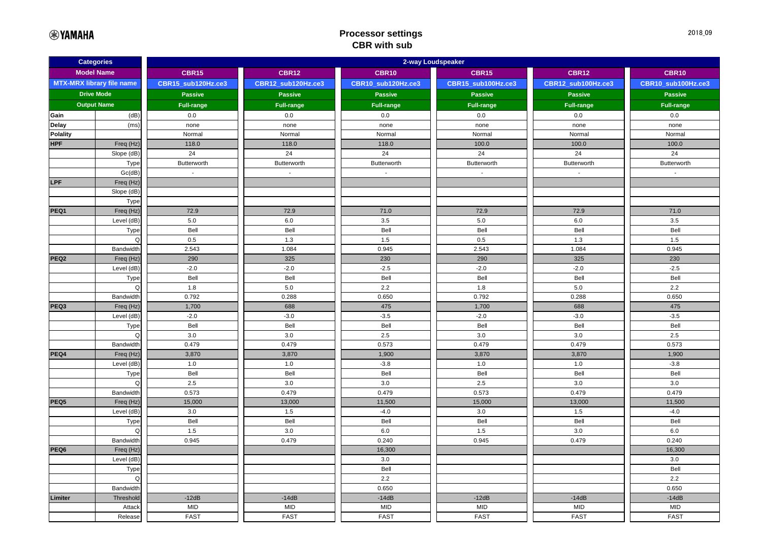## **Processor settings CBR with sub**

| <b>Categories</b>                |                    | 2-way Loudspeaker  |                    |                    |                    |                    |                    |  |  |
|----------------------------------|--------------------|--------------------|--------------------|--------------------|--------------------|--------------------|--------------------|--|--|
| <b>Model Name</b>                |                    | <b>CBR15</b>       | <b>CBR12</b>       | <b>CBR10</b>       | <b>CBR15</b>       | <b>CBR12</b>       | <b>CBR10</b>       |  |  |
| <b>MTX-MRX library file name</b> |                    | CBR15_sub120Hz.ce3 | CBR12_sub120Hz.ce3 | CBR10_sub120Hz.ce3 | CBR15_sub100Hz.ce3 | CBR12 sub100Hz.ce3 | CBR10_sub100Hz.ce3 |  |  |
|                                  | <b>Drive Mode</b>  | <b>Passive</b>     | <b>Passive</b>     | <b>Passive</b>     | <b>Passive</b>     | <b>Passive</b>     | <b>Passive</b>     |  |  |
|                                  | <b>Output Name</b> | <b>Full-range</b>  | <b>Full-range</b>  | <b>Full-range</b>  | <b>Full-range</b>  | <b>Full-range</b>  | <b>Full-range</b>  |  |  |
| Gain                             | (dB)               | 0.0                | 0.0                | 0.0                | 0.0                | 0.0                | 0.0                |  |  |
| Delay                            | (ms)               | none               | none               | none               | none               | none               | none               |  |  |
| <b>Polality</b>                  |                    | Normal             | Normal             | Normal             | Normal             | Normal             | Normal             |  |  |
| <b>HPF</b>                       | Freq (Hz)          | 118.0              | 118.0              | 118.0              | 100.0              | 100.0              | 100.0              |  |  |
|                                  | Slope (dB)         | 24                 | 24                 | 24                 | 24                 | 24                 | 24                 |  |  |
|                                  | Type               | Butterworth        | Butterworth        | Butterworth        | Butterworth        | Butterworth        | Butterworth        |  |  |
|                                  | Gc(dB)             | $\sim$             | $\sim$             | $\sim$             | $\sim$             | $\sim$             | $\sim$             |  |  |
| <b>LPF</b>                       | Freq (Hz)          |                    |                    |                    |                    |                    |                    |  |  |
|                                  | Slope (dB)         |                    |                    |                    |                    |                    |                    |  |  |
|                                  | Type               |                    |                    |                    |                    |                    |                    |  |  |
| PEQ1                             | Freq (Hz)          | 72.9               | 72.9               | 71.0               | 72.9               | 72.9               | 71.0               |  |  |
|                                  | Level (dB)         | 5.0                | 6.0                | 3.5                | 5.0                | 6.0                | 3.5                |  |  |
|                                  | Type               | Bell               | Bell               | Bell               | Bell               | Bell               | Bell               |  |  |
|                                  | Q                  | 0.5                | 1.3                | 1.5                | 0.5                | 1.3                | 1.5                |  |  |
|                                  | Bandwidth          | 2.543              | 1.084              | 0.945              | 2.543              | 1.084              | 0.945              |  |  |
| PEQ <sub>2</sub>                 | Freq (Hz)          | 290                | 325                | 230                | 290                | 325                | 230                |  |  |
|                                  | Level (dB)         | $-2.0$             | $-2.0$             | $-2.5$             | $-2.0$             | $-2.0$             | $-2.5$             |  |  |
|                                  | Type               | Bell               | Bell               | Bell               | Bell               | Bell               | Bell               |  |  |
|                                  | Q                  | 1.8                | 5.0                | 2.2                | 1.8                | 5.0                | 2.2                |  |  |
|                                  | Bandwidth          | 0.792              | 0.288              | 0.650              | 0.792              | 0.288              | 0.650              |  |  |
| PEQ3                             | Freq (Hz)          | 1,700<br>$-2.0$    | 688                | 475                | 1,700<br>$-2.0$    | 688<br>$-3.0$      | 475                |  |  |
|                                  | Level (dB)<br>Type | Bell               | $-3.0$<br>Bell     | $-3.5$<br>Bell     | Bell               | Bell               | $-3.5$<br>Bell     |  |  |
|                                  | Q                  | 3.0                | 3.0                | 2.5                | 3.0                | 3.0                | 2.5                |  |  |
|                                  | Bandwidth          | 0.479              | 0.479              | 0.573              | 0.479              | 0.479              | 0.573              |  |  |
| PEQ4                             | Freq (Hz)          | 3,870              | 3,870              | 1,900              | 3,870              | 3,870              | 1,900              |  |  |
|                                  | Level (dB)         | 1.0                | 1.0                | $-3.8$             | 1.0                | 1.0                | $-3.8$             |  |  |
|                                  | Type               | Bell               | Bell               | Bell               | Bell               | Bell               | Bell               |  |  |
|                                  | $\Omega$           | 2.5                | 3.0                | 3.0                | 2.5                | 3.0                | 3.0                |  |  |
|                                  | Bandwidth          | 0.573              | 0.479              | 0.479              | 0.573              | 0.479              | 0.479              |  |  |
| PEQ5                             | Freq (Hz)          | 15,000             | 13,000             | 11,500             | 15,000             | 13,000             | 11,500             |  |  |
|                                  | Level (dB)         | 3.0                | 1.5                | $-4.0$             | 3.0                | 1.5                | $-4.0$             |  |  |
|                                  | Type               | Bell               | Bell               | Bell               | Bell               | Bell               | Bell               |  |  |
|                                  | Q                  | 1.5                | 3.0                | 6.0                | 1.5                | 3.0                | 6.0                |  |  |
|                                  | Bandwidth          | 0.945              | 0.479              | 0.240              | 0.945              | 0.479              | 0.240              |  |  |
| PEQ6                             | Freq (Hz)          |                    |                    | 16,300             |                    |                    | 16,300             |  |  |
|                                  | Level (dB)         |                    |                    | 3.0                |                    |                    | 3.0                |  |  |
|                                  | Type               |                    |                    | Bell               |                    |                    | Bell               |  |  |
|                                  | Q                  |                    |                    | 2.2                |                    |                    | 2.2                |  |  |
|                                  | Bandwidth          |                    |                    | 0.650              |                    |                    | 0.650              |  |  |
| Limiter                          | Threshold          | $-12dB$            | $-14dB$            | $-14dB$            | $-12dB$            | $-14dB$            | $-14dB$            |  |  |
|                                  | Attack             | <b>MID</b>         | <b>MID</b>         | <b>MID</b>         | <b>MID</b>         | <b>MID</b>         | <b>MID</b>         |  |  |
|                                  | Release            | <b>FAST</b>        | <b>FAST</b>        | <b>FAST</b>        | <b>FAST</b>        | <b>FAST</b>        | <b>FAST</b>        |  |  |